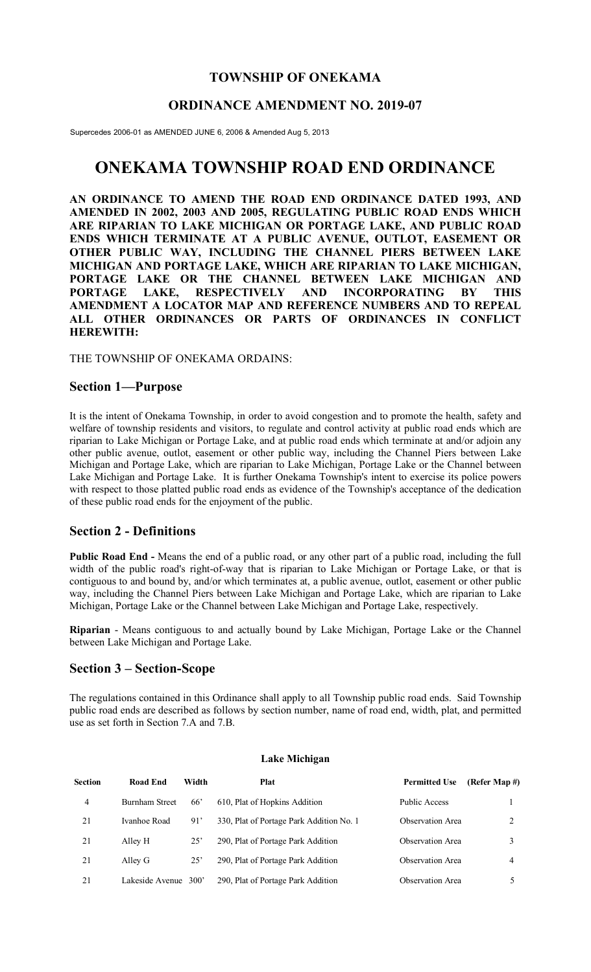## **TOWNSHIP OF ONEKAMA**

## **ORDINANCE AMENDMENT NO. 2019-07**

Supercedes 2006-01 as AMENDED JUNE 6, 2006 & Amended Aug 5, 2013

# **ONEKAMA TOWNSHIP ROAD END ORDINANCE**

**AN ORDINANCE TO AMEND THE ROAD END ORDINANCE DATED 1993, AND AMENDED IN 2002, 2003 AND 2005, REGULATING PUBLIC ROAD ENDS WHICH ARE RIPARIAN TO LAKE MICHIGAN OR PORTAGE LAKE, AND PUBLIC ROAD ENDS WHICH TERMINATE AT A PUBLIC AVENUE, OUTLOT, EASEMENT OR OTHER PUBLIC WAY, INCLUDING THE CHANNEL PIERS BETWEEN LAKE MICHIGAN AND PORTAGE LAKE, WHICH ARE RIPARIAN TO LAKE MICHIGAN, PORTAGE LAKE OR THE CHANNEL BETWEEN LAKE MICHIGAN AND PORTAGE LAKE, RESPECTIVELY AND INCORPORATING BY THIS AMENDMENT A LOCATOR MAP AND REFERENCE NUMBERS AND TO REPEAL ALL OTHER ORDINANCES OR PARTS OF ORDINANCES IN CONFLICT HEREWITH:**

THE TOWNSHIP OF ONEKAMA ORDAINS:

#### **Section 1—Purpose**

It is the intent of Onekama Township, in order to avoid congestion and to promote the health, safety and welfare of township residents and visitors, to regulate and control activity at public road ends which are riparian to Lake Michigan or Portage Lake, and at public road ends which terminate at and/or adjoin any other public avenue, outlot, easement or other public way, including the Channel Piers between Lake Michigan and Portage Lake, which are riparian to Lake Michigan, Portage Lake or the Channel between Lake Michigan and Portage Lake. It is further Onekama Township's intent to exercise its police powers with respect to those platted public road ends as evidence of the Township's acceptance of the dedication of these public road ends for the enjoyment of the public.

#### **Section 2 - Definitions**

**Public Road End -** Means the end of a public road, or any other part of a public road, including the full width of the public road's right-of-way that is riparian to Lake Michigan or Portage Lake, or that is contiguous to and bound by, and/or which terminates at, a public avenue, outlot, easement or other public way, including the Channel Piers between Lake Michigan and Portage Lake, which are riparian to Lake Michigan, Portage Lake or the Channel between Lake Michigan and Portage Lake, respectively.

**Riparian** - Means contiguous to and actually bound by Lake Michigan, Portage Lake or the Channel between Lake Michigan and Portage Lake.

#### **Section 3 – Section-Scope**

The regulations contained in this Ordinance shall apply to all Township public road ends. Said Township public road ends are described as follows by section number, name of road end, width, plat, and permitted use as set forth in Section 7.A and 7.B.

| <b>Section</b> | Road End        | Width           | <b>Plat</b>                              | <b>Permitted Use</b>    | (Refer Map #) |
|----------------|-----------------|-----------------|------------------------------------------|-------------------------|---------------|
| 4              | Burnham Street  | 66 <sup>'</sup> | 610, Plat of Hopkins Addition            | <b>Public Access</b>    |               |
| 21             | Ivanhoe Road    | 91'             | 330, Plat of Portage Park Addition No. 1 | Observation Area        | ↑             |
| 21             | Alley H         | 25'             | 290, Plat of Portage Park Addition       | Observation Area        |               |
| 21             | Alley G         | $25^{\circ}$    | 290, Plat of Portage Park Addition       | Observation Area        | 4             |
| 21             | Lakeside Avenue | 300'            | 290, Plat of Portage Park Addition       | <b>Observation</b> Area |               |

#### **Lake Michigan**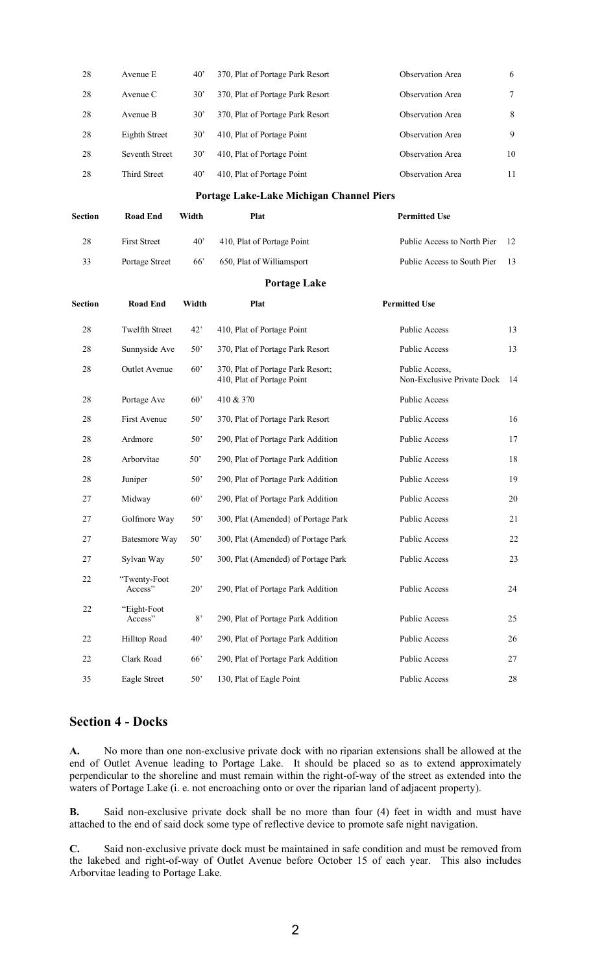| 28             | Avenue E                | $40^{\circ}$ | 370, Plat of Portage Park Resort                                | Observation Area                             | 6      |
|----------------|-------------------------|--------------|-----------------------------------------------------------------|----------------------------------------------|--------|
| 28             | Avenue C                | $30^{\circ}$ | 370, Plat of Portage Park Resort                                | Observation Area                             | 7      |
| 28             | Avenue B                | $30^{\circ}$ | 370, Plat of Portage Park Resort                                | Observation Area                             | 8      |
| 28             | <b>Eighth Street</b>    | $30^{\circ}$ | 410, Plat of Portage Point                                      | Observation Area                             | 9      |
| 28             | Seventh Street          | $30^{\circ}$ | 410, Plat of Portage Point                                      | Observation Area                             | 10     |
| 28             | Third Street            | $40^{\circ}$ | 410, Plat of Portage Point                                      | Observation Area                             | 11     |
|                |                         |              | Portage Lake-Lake Michigan Channel Piers                        |                                              |        |
| <b>Section</b> | <b>Road End</b>         | Width        | <b>Plat</b>                                                     | <b>Permitted Use</b>                         |        |
| 28             | <b>First Street</b>     | $40^{\circ}$ | 410, Plat of Portage Point                                      | Public Access to North Pier                  | 12     |
| 33             | Portage Street          | 66'          | 650, Plat of Williamsport                                       | Public Access to South Pier                  | 13     |
|                |                         |              | <b>Portage Lake</b>                                             |                                              |        |
| <b>Section</b> | <b>Road End</b>         | Width        | Plat                                                            | <b>Permitted Use</b>                         |        |
| 28             | <b>Twelfth Street</b>   | 42'          | 410, Plat of Portage Point                                      | Public Access                                | 13     |
| 28             | Sunnyside Ave           | 50'          | 370, Plat of Portage Park Resort                                | Public Access                                | 13     |
| 28             | Outlet Avenue           | $60^{\circ}$ | 370, Plat of Portage Park Resort;<br>410, Plat of Portage Point | Public Access,<br>Non-Exclusive Private Dock | -14    |
| 28             | Portage Ave             | 60'          | 410 & 370                                                       | Public Access                                |        |
| 28             | First Avenue            | $50^{\circ}$ | 370, Plat of Portage Park Resort                                | Public Access                                | 16     |
| 28             | Ardmore                 | 50'          | 290, Plat of Portage Park Addition                              | <b>Public Access</b>                         | 17     |
| 28             | Arborvitae              | $50^{\circ}$ | 290, Plat of Portage Park Addition                              | <b>Public Access</b>                         | 18     |
| 28             | Juniper                 | $50^{\circ}$ | 290, Plat of Portage Park Addition                              | <b>Public Access</b>                         | 19     |
| 27             | Midway                  | 60'          | 290, Plat of Portage Park Addition                              | <b>Public Access</b>                         | $20\,$ |
| 27             | Golfmore Way            | 50'          | 300, Plat (Amended) of Portage Park                             | Public Access                                | 21     |
| $27\,$         | <b>Batesmore Way</b>    | 50'          | 300, Plat (Amended) of Portage Park                             | <b>Public Access</b>                         | 22     |
| 27             | Sylvan Way              | 50'          | 300, Plat (Amended) of Portage Park                             | <b>Public Access</b>                         | 23     |
| 22             | "Twenty-Foot<br>Access" | $20^{\circ}$ | 290, Plat of Portage Park Addition                              | Public Access                                | 24     |
| 22             | "Eight-Foot<br>Access"  | $8^\circ$    | 290, Plat of Portage Park Addition                              | Public Access                                | 25     |
| $22\,$         | Hilltop Road            | 40'          | 290, Plat of Portage Park Addition                              | Public Access                                | 26     |
| 22             | Clark Road              | 66           | 290, Plat of Portage Park Addition                              | <b>Public Access</b>                         | 27     |
| 35             | Eagle Street            | 50'          | 130, Plat of Eagle Point                                        | Public Access                                | $28\,$ |
|                |                         |              |                                                                 |                                              |        |

# **Section 4 - Docks**

**A.** No more than one non-exclusive private dock with no riparian extensions shall be allowed at the end of Outlet Avenue leading to Portage Lake. It should be placed so as to extend approximately perpendicular to the shoreline and must remain within the right-of-way of the street as extended into the waters of Portage Lake (i. e. not encroaching onto or over the riparian land of adjacent property).

**B.** Said non-exclusive private dock shall be no more than four (4) feet in width and must have attached to the end of said dock some type of reflective device to promote safe night navigation.

**C.** Said non-exclusive private dock must be maintained in safe condition and must be removed from the lakebed and right-of-way of Outlet Avenue before October 15 of each year. This also includes Arborvitae leading to Portage Lake.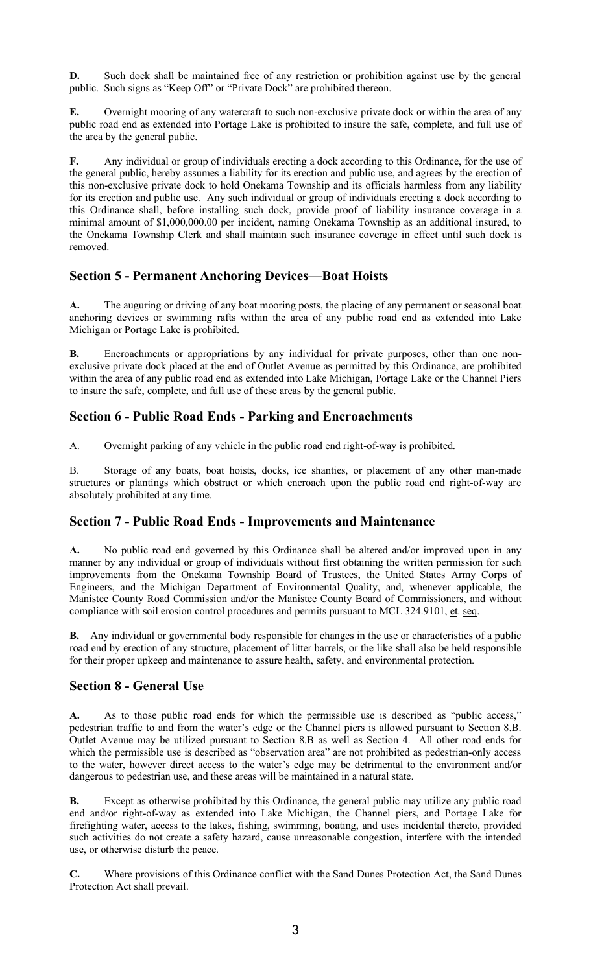**D.** Such dock shall be maintained free of any restriction or prohibition against use by the general public. Such signs as "Keep Off" or "Private Dock" are prohibited thereon.

**E.** Overnight mooring of any watercraft to such non-exclusive private dock or within the area of any public road end as extended into Portage Lake is prohibited to insure the safe, complete, and full use of the area by the general public.

**F.** Any individual or group of individuals erecting a dock according to this Ordinance, for the use of the general public, hereby assumes a liability for its erection and public use, and agrees by the erection of this non-exclusive private dock to hold Onekama Township and its officials harmless from any liability for its erection and public use. Any such individual or group of individuals erecting a dock according to this Ordinance shall, before installing such dock, provide proof of liability insurance coverage in a minimal amount of \$1,000,000.00 per incident, naming Onekama Township as an additional insured, to the Onekama Township Clerk and shall maintain such insurance coverage in effect until such dock is removed.

# **Section 5 - Permanent Anchoring Devices—Boat Hoists**

**A.** The auguring or driving of any boat mooring posts, the placing of any permanent or seasonal boat anchoring devices or swimming rafts within the area of any public road end as extended into Lake Michigan or Portage Lake is prohibited.

**B.** Encroachments or appropriations by any individual for private purposes, other than one nonexclusive private dock placed at the end of Outlet Avenue as permitted by this Ordinance, are prohibited within the area of any public road end as extended into Lake Michigan, Portage Lake or the Channel Piers to insure the safe, complete, and full use of these areas by the general public.

# **Section 6 - Public Road Ends - Parking and Encroachments**

A. Overnight parking of any vehicle in the public road end right-of-way is prohibited.

B. Storage of any boats, boat hoists, docks, ice shanties, or placement of any other man-made structures or plantings which obstruct or which encroach upon the public road end right-of-way are absolutely prohibited at any time.

## **Section 7 - Public Road Ends - Improvements and Maintenance**

**A.** No public road end governed by this Ordinance shall be altered and/or improved upon in any manner by any individual or group of individuals without first obtaining the written permission for such improvements from the Onekama Township Board of Trustees, the United States Army Corps of Engineers, and the Michigan Department of Environmental Quality, and, whenever applicable, the Manistee County Road Commission and/or the Manistee County Board of Commissioners, and without compliance with soil erosion control procedures and permits pursuant to MCL 324.9101, et. seq.

**B.** Any individual or governmental body responsible for changes in the use or characteristics of a public road end by erection of any structure, placement of litter barrels, or the like shall also be held responsible for their proper upkeep and maintenance to assure health, safety, and environmental protection.

# **Section 8 - General Use**

**A.** As to those public road ends for which the permissible use is described as "public access," pedestrian traffic to and from the water's edge or the Channel piers is allowed pursuant to Section 8.B. Outlet Avenue may be utilized pursuant to Section 8.B as well as Section 4. All other road ends for which the permissible use is described as "observation area" are not prohibited as pedestrian-only access to the water, however direct access to the water's edge may be detrimental to the environment and/or dangerous to pedestrian use, and these areas will be maintained in a natural state.

**B.** Except as otherwise prohibited by this Ordinance, the general public may utilize any public road end and/or right-of-way as extended into Lake Michigan, the Channel piers, and Portage Lake for firefighting water, access to the lakes, fishing, swimming, boating, and uses incidental thereto, provided such activities do not create a safety hazard, cause unreasonable congestion, interfere with the intended use, or otherwise disturb the peace.

**C.** Where provisions of this Ordinance conflict with the Sand Dunes Protection Act, the Sand Dunes Protection Act shall prevail.